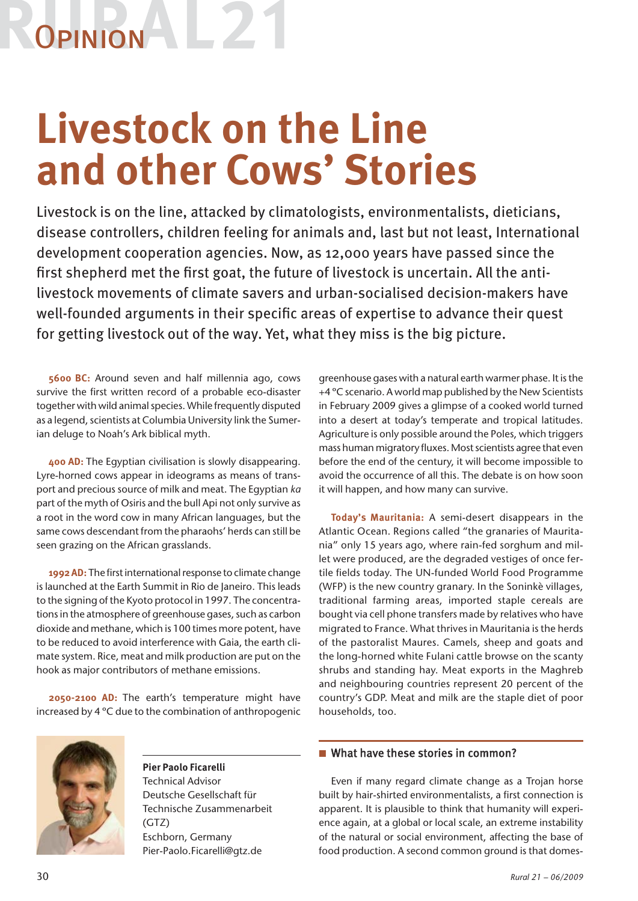# **OPINION**

### **Livestock on the Line and other Cows' Stories**

Livestock is on the line, attacked by climatologists, environmentalists, dieticians, disease controllers, children feeling for animals and, last but not least, International development cooperation agencies. Now, as 12,000 years have passed since the first shepherd met the first goat, the future of livestock is uncertain. All the antilivestock movements of climate savers and urban-socialised decision-makers have well-founded arguments in their specific areas of expertise to advance their quest for getting livestock out of the way. Yet, what they miss is the big picture.

**5600 BC:** Around seven and half millennia ago, cows survive the first written record of a probable eco-disaster together with wild animal species. While frequently disputed as a legend, scientists at Columbia University link the Sumerian deluge to Noah's Ark biblical myth.

**400 AD:** The Egyptian civilisation is slowly disappearing. Lyre-horned cows appear in ideograms as means of transport and precious source of milk and meat. The Egyptian *ka* part of the myth of Osiris and the bull Api not only survive as a root in the word cow in many African languages, but the same cows descendant from the pharaohs' herds can still be seen grazing on the African grasslands.

1992 AD: The first international response to climate change is launched at the Earth Summit in Rio de Janeiro. This leads to the signing of the Kyoto protocol in 1997. The concentrations in the atmosphere of greenhouse gases, such as carbon dioxide and methane, which is 100 times more potent, have to be reduced to avoid interference with Gaia, the earth climate system. Rice, meat and milk production are put on the hook as major contributors of methane emissions.

**2050-2100 AD:** The earth's temperature might have increased by 4 ºC due to the combination of anthropogenic



**Pier Paolo Ficarelli**  Technical Advisor Deutsche Gesellschaft für Technische Zusammenarbeit (GTZ) Eschborn, Germany Pier-Paolo.Ficarelli@gtz.de

greenhouse gases with a natural earth warmer phase. It is the +4 ºC scenario. A world map published by the New Scientists in February 2009 gives a glimpse of a cooked world turned into a desert at today's temperate and tropical latitudes. Agriculture is only possible around the Poles, which triggers mass human migratory fluxes. Most scientists agree that even before the end of the century, it will become impossible to avoid the occurrence of all this. The debate is on how soon it will happen, and how many can survive.

**Today's Mauritania:** A semi-desert disappears in the Atlantic Ocean. Regions called "the granaries of Mauritania" only 15 years ago, where rain-fed sorghum and millet were produced, are the degraded vestiges of once fertile fields today. The UN-funded World Food Programme (WFP) is the new country granary. In the Soninkè villages, traditional farming areas, imported staple cereals are bought via cell phone transfers made by relatives who have migrated to France. What thrives in Mauritania is the herds of the pastoralist Maures. Camels, sheep and goats and the long-horned white Fulani cattle browse on the scanty shrubs and standing hay. Meat exports in the Maghreb and neighbouring countries represent 20 percent of the country's GDP. Meat and milk are the staple diet of poor households, too.

### $\blacksquare$  What have these stories in common?

Even if many regard climate change as a Trojan horse built by hair-shirted environmentalists, a first connection is apparent. It is plausible to think that humanity will experience again, at a global or local scale, an extreme instability of the natural or social environment, affecting the base of food production. A second common ground is that domes-